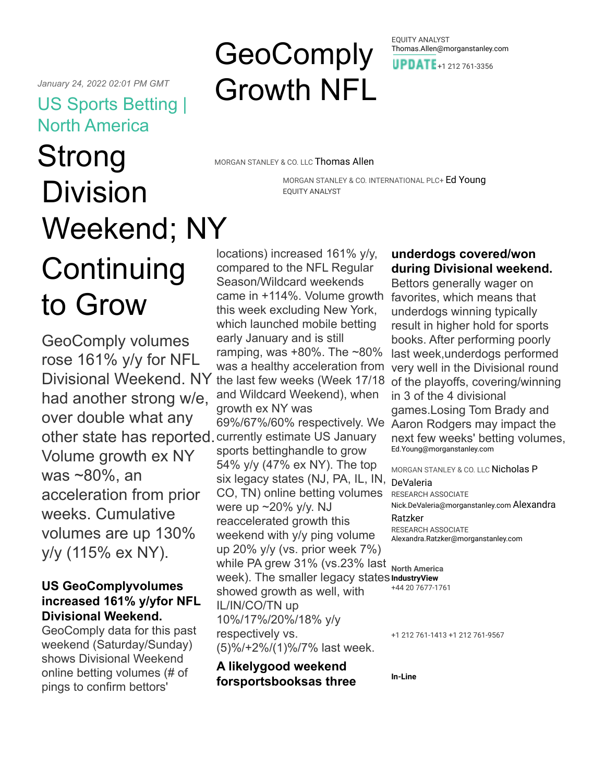*January 24, 2022 02:01 PM GMT*

## US Sports Betting | North America

## **Strong** Division Weekend; NY **Continuing** to Grow

GeoComply volumes rose 161% y/y for NFL Divisional Weekend. NY had another strong w/e, over double what any other state has reported. currently estimate US January Volume growth ex NY was ~80%, an acceleration from prior weeks. Cumulative volumes are up 130% y/y (115% ex NY).

#### **US GeoComplyvolumes increased 161% y/yfor NFL Divisional Weekend.**

GeoComply data for this past weekend (Saturday/Sunday) shows Divisional Weekend online betting volumes (# of pings to confirm bettors'

# **GeoComply** Growth NFL

EQUITY ANALYST Thomas.Allen@morganstanley.com UPDATE+1 212 761-3356

MORGAN STANLEY & CO. LLC Thomas Allen

MORGAN STANLEY & CO. INTERNATIONAL PLC+ Ed Young EQUITY ANALYST

locations) increased 161% y/y, compared to the NFL Regular Season/Wildcard weekends came in +114%. Volume growth favorites, which means that this week excluding New York, which launched mobile betting early January and is still ramping, was  $+80\%$ . The  $\sim80\%$ was a healthy acceleration from the last few weeks (Week 17/18 and Wildcard Weekend), when growth ex NY was 69%/67%/60% respectively. We Aaron Rodgers may impact the sports bettinghandle to grow 54% y/y (47% ex NY). The top six legacy states (NJ, PA, IL, IN, CO, TN) online betting volumes were up  $\sim$  20% y/y. NJ reaccelerated growth this weekend with y/y ping volume up 20% y/y (vs. prior week 7%) while PA grew 31% (vs.23% last week). The smaller legacy states **IndustryView** showed growth as well, with IL/IN/CO/TN up 10%/17%/20%/18% y/y respectively vs. (5)%/+2%/(1)%/7% last week. **North America**

**A likelygood weekend forsportsbooksas three**

#### **underdogs covered/won during Divisional weekend.**

Bettors generally wager on underdogs winning typically result in higher hold for sports books. After performing poorly last week,underdogs performed very well in the Divisional round of the playoffs, covering/winning in 3 of the 4 divisional games.Losing Tom Brady and next few weeks' betting volumes, Ed.Young@morganstanley.com

MORGAN STANLEY & CO. LLC **Nicholas P** 

DeValeria RESEARCH ASSOCIATE Nick.DeValeria@morganstanley.com Alexandra Ratzker RESEARCH ASSOCIATE Alexandra.Ratzker@morganstanley.com

+44 20 7677-1761

+1 212 761-1413 +1 212 761-9567

**In-Line**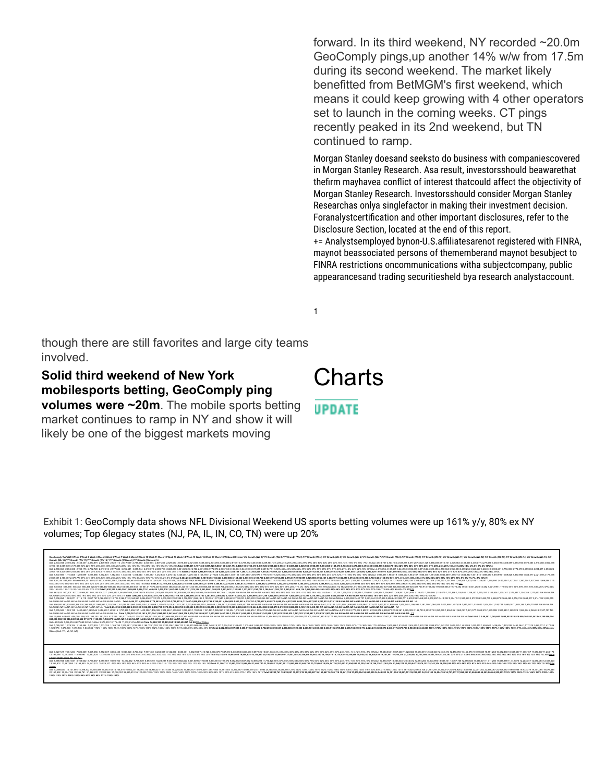forward. In its third weekend, NY recorded ~20.0m GeoComply pings,up another 14% w/w from 17.5m during its second weekend. The market likely benefitted from BetMGM's first weekend, which means it could keep growing with 4 other operators set to launch in the coming weeks. CT pings recently peaked in its 2nd weekend, but TN continued to ramp.

Morgan Stanley doesand seeksto do business with companiescovered in Morgan Stanley Research. Asa result, investorsshould beawarethat thefirm mayhavea conflict of interest thatcould affect the objectivity of Morgan Stanley Research. Investorsshould consider Morgan Stanley Researchas onlya singlefactor in making their investment decision. Foranalystcertification and other important disclosures, refer to the Disclosure Section, located at the end of this report. += Analystsemployed bynon-U.S.affiliatesarenot registered with FINRA,

maynot beassociated persons of thememberand maynot besubject to FINRA restrictions oncommunications witha subjectcompany, public appearancesand trading securitiesheld bya research analystaccount.

1

though there are still favorites and large city teams involved.

**Solid third weekend of New York mobilesports betting, GeoComply ping volumes were ~20m**. The mobile sports betting market continues to ramp in NY and show it will likely be one of the biggest markets moving

**Charts** 

**UPDATE** 

Exhibit 1: GeoComply data shows NFL Divisional Weekend US sports betting volumes were up 161% y/y, 80% ex NY volumes; Top 6legacy states (NJ, PA, IL, IN, CO, TN) were up 20%

GeoComply Txn'sWk1 Week 2 Week 3 Week 4 Week 5 Week 7 Week 10 Week 10 Week 12 Week 12 Week 12 Week 14 Week 15 Week 15 Week 15 Week 15 Week 15 Week 15 Week 15 Week 15 Week 15 Week 15 Week 16 Week 17 Week 10 Week 17 Week 10 **Growth (Wk 16) Y/Y Growth (Wk 17) Y/Y Growth (Wk 18)\* Y/Y Growth (Wildcard) Y/Y Growth (Division)** NJ Sec 2333,044 2450,352 2,444,447 2,350,891 2,439,885 2,522,112 2,877,889 2,759,882 2,539,894 2,897,289 2,539,400 2,573,883 2,532,880 2,573,883 2,58,094 2,578,480 2,635,000 2,578,094 2,58,000 2,578,094 2,58,000 2,58,000 2,58 3,708,138 3,889,639 4,178,388 12% 22% 16% 23% 38% 38% 30% 26% 22% 15% 13% 9% 19% 24% 15% 10% 6% 2% 14% 20%**Total 5,947,801 6,157,485 5,981,728 5,858,158 6,261,114 6,408,151 6,730,410 6,349,126 5,934,460 5,953,312 5,807,208 6,025,930 5,908,395 5,974,084 6,149,378 6,133,534 6,478,668 6,496,330 6,930,175 7,438,372 12% 22% 18% 22% 34% 36% 28% 31% 28% 25% 20% 16% 21% 22% 14% -2% 6% 7% 4% 16%**PA Sat 2,700,653 2,785,330 2,780,175 2,772,720 2,917,654 3,212,541 3,650,74 2,810,072 2,880,743 2,880,031 2,880,203,041,000 2,818,703 2,880,000 3,000,001 3,51,2775,000,000 4,778,000 4,780,000 4,780,000 4,780,000 4,780,000 4,7 3,942,728 4,439,300 4,45,003 44% 35% 29% 40% 47% 49% 37% 40% 37% 37% 40% 37% 37% 40% 37% 37% 40% 37% 37% 37% 40% 37% 37% 40% 37% 37% 47% 37% 47% 37% 47% 37% 47% 37% 47% 47% 47% 47% 47% 47% 37% 47% 37% 47% 37% 47% 37% 47% 4 Sat 1,137,693 1,114,805 1,202,599 1,221,886 1,112,331 1,162,784 1,435,404 1,314,643 1,184,567 1,272,635 1,276,140 1,326,004 1,270,143 1,108,193 1,217,620 1,160,460 1,402,125 1,491,665 1,570,976 1,779,139 47% 52% 50% 47% 33% 40% 41% 51% 47% 50% 45% 34% 37% 12% 11% -18% 9% 16% -16% 14%Sun 1,926,581 1,964,019 1,985,063 1,944,737 1,985,475 1,981,636 2,042,069 1,795,113 1,654,930 1,641,615 1,698,677 1,670,995 1,859,826 1,857,968 1,844,577 2,021,759 2,173,195 2,082,521 2,166,367 2,379,773 57% 44% 36% 40% 52% 38% 26% 26% 16% 12% 17% 4% 24% 16% 7% 18% 6% 2% 4% 8%**Total 3,064,274 3,078,824 3,187,662 3,166,623 3,097,806 3,144,420 3,477,473 3,109,756 2,839,497 2,914,250 2,974,817 2,996,999 3,129,969 2,966,161 3,062,197 3,182,219 3,575,320 3,574,186 3,737,343 4,158,912 53% 47% 41% 42% 45% 39% 31% 36% 28% 26% 28% 15% 29% 14% 9% 2% 7% 7% -5% 10%**IN Sat 820,226 837,679 850,666 905,701 802,037 857,436 993,556 1,006,638 895,683 911,555 910,870 1,043,491 938,257 818,030 919,355 796,438 967,359 972,699 1,106,465 1,216,415 38% 59% 54% 63% 40% 66% 49% 71% 57% 55% 35% 40% 43% 24% 24% -18% 5% 5% -11% 19%Sun 1,241,747 1,302,521 1,299,954 1,275,707 1,292,128 1,315,638 1,395,326 1,268,839 1,152,189 1,193,122 1,207,992 1,255,539 1,303,788 1,328,057 1,340,894 1,440,034 1,427,581 1,350,124 1,427,060 1,566,588 31% 40% 35% 41% 52% 50% 44% 51% 28% 22% 30% 30% 30% 30% 30% 10% 14% 15% 15% 4000 2,100,000 2,100,000 2,100,000 2,200,000 2,200,000 2,200,000 2,200,000 2,200,000 2,200,000 2,200,000 2,200,000 2,200,000 2,200,000 2,200,000 2,200, San 535,005 545,382 540,388 520,871 546,467 588,850 553,154 538,550 552,160 541,037 527400 538,001 468,430 530,203 667,337 685,539 4956 495 495 539,289 580,500 588,590 588,590 588,590 588,590 588,500 588,500 588,500 588,50 28% 10% 0% 12% 21% 0% 10% 0% 10% 0% 10% 0% 12% 22%Total 1,420,217 1,485,298 1,505,020 1,444,733 1,408,634 1,475,130 1,468,750 1,458,700 1,535,000 1,535,800 1,535,800 1,535,800 1,535,800 1,535,800 1,535,750 1,535,750 1,585, Sex 802,823 900,407 927,333 984,901 923,271 033442 1,045,920 928,279 929,974 935,756 700,928 886,205 945,162 938,105 928,103 928 928,102 938,102 938,102 938,102 938,102 938,102 938,102 938,102 938,102 938,102 938,102 938,1 NA NA NA 2075, 61% 58% 28% 29% 39% 29% 29% 29% 20% 10% 1% 1% 1% 1% 10% 10% 10% 22,140,799 2,144,799 2,144,799 2,140,799 2,27,889 2,447,789 2,287,848 2,087,239 2,214,995 2,087,288 1,820,188 1,820,188 1,820,188 2,014,788 2,2 Sat 1,985,854 2,185,871 2,115,119 2,097,757 2,086,202 2,112,762 2,285,513 2,394,559 2,180,208,999 2,170,373 2,280,398 2,178,599 2,100,355 2,178,202,22,280,000 2,252,202 2,580,000 2,430,273,280,000 2,430,273,280,000 2,430,2 NA NA NA NA NA NA NA NA NA NA NA NA NA NA NA NA NA NA NA NA **Total 4,444,123 4,426,598 4,778,563 4,615,183 4,722,933 4,712,407 4,898,806 4,812,799 4,289,451 4,584,605 4,533,581 4,739,781 4,749,597 4,458,871 4,689,234 4,637,029 5,045,799 4,857,050 5,237,401 5,575,135 NA NA NA NA NA NA NA NA NA NA NA NA NA NA NA NA NA NA NA NA** VA See 885,582883,588823,588823,57889,2577.809,8881,150,289 1,101,085891,108,941,025,1081,009,000 1,111,679 1,025,8387151,073,839,788,788,11,000,065 1,1,0001,000,00011,000,00011,000,00011,000,0001,000,0001,000,0001,000,0001,0 NA NA NA NA NA NA NA NA NA NA NA NA NA NA NA **Total 2,234,734 2,355,228 2,350,339 2,336,350 2,452,794 2,572,094 2,788,763 2,611,640 2,390,590 2,416,916 2,389,525 2,513,565 2,483,460 2,512,644 2,554,088 2,364,479 2,812,789 2,888,078 3,123,126 3,480,183 NA NA NA NA NA NA NA NA NA NA NA NA NA NA NA NA NA NA NA NA** AZ Sex 1,505,945 1,505,130 1,480,668 1,460,545 1,442,505 1,528 1,528,157,757 140,528 1,500,58 1,520,448 1,492,585 1,183,586 1,283,685 1,183,586 1,183,585 1,183,586 1,183,586 1,183,586 1,183,586 1,183,586 1,283,586 1,283,586 2 NA NA NA NA NA NA NA NA NA NA NA NA NA NA NA NA NA NA NA **Total 3,718,167 4,282,162 4,173,184 3,994,462 3,942,464 3,965,176 4,376,708 3,656,927 3,653,869 3,457,345 3,179,983 3,455,349 3,238,960 3,243,898 3,061,422 2,993,830 3,182,383 3,264,587 3,528,629 3,907,194 NA NA NA NA NA NA NA NA NA NA NA NA NA NA NA NA NA NA NA NA** CT Sat 25,699 443,617 454,098 395,307 394,253 382,183 417,265 382,417 348,412 375,357 365,953 393,243 402,869 489,919 537,361 NA NA NA NA NA NA NA NA NA NA NA NA NA NA NA NA NA NA NA NASun 33,894 602,070 600,404 533,209 506,011 501,259 530,930 523,777 535,784 526,839 580,596 560,409 568,203 665,437 602,912 NA NA NA NA NA NA NA NA NA NA NA NA NA NA NA NA NA NA NA NA**Total 0 0 0 0 0 59,593 1,045,687 1,054,502 928,516 900,264 883,442 948,195 906,194 884,196 902,196 946,549 953,652 971,072 1,155,356 1,140,273 NA NA NA NA NA NA NA NA NA NA NA NA NA NA NA NA NA NA NA NA** NY Sat 4,692,844 7,286,816 8,627,682 NA NA NASun 9,575,353 10,176,428 11,332,814 NA NA NA **Total 14,268,197 17,463,244 19,960,496 NA NA NA**Other States Sat 1,095,300 1,079,324 1,153,564 1,200,453 1,133,325 1,165,755 1,235,581 1,236,335 1,168,129 1,192,115 1,200,306 1,266,123 1,193,370 988,455 1,062,240 815,337 1,124,744 1,108,601 1,315,468 1,495,423 193% 201% 180% 189% 178% 184% 154% 180% 194% 193% 186% 194% 174% 126% 57% 17% 36% 35% 17% 49%Sun 1,507,686 1,518,500 1,504,955 1,522,239 1,598,970 1,542,792 1,615,225 1,483,988 1,437,452 1,459,041 1,436,604 1,493,285 1,462,364 1,517,319 1,462,001 1,417,939 1,523,973 1,470,103 1,617,536 1,848,584 172% 155% 138% 154% 169% 166% 147% 160% 136% 132% 138% 144% 138% 141% 84% 69% 48% 43% 45% 49%**Total 2,602,986 2,597,824 2,658,519 2,722,692 2,732,295 2,708,547 2,850,806 2,720,323 2,605,581 2,651,156 2,636,910 2,759,408 2,655,734 2,505,774 2,524,241 2,233,276 2,648,717 2,578,704 2,933,004 3,344,007 180% 172% 154% 168% 173% 173% 150% 169% 159% 156% 157% 165% 153% 135% 71% 45% 43% 39% 31% 49%**Legacy States (Excl. TN, MI, VA, AZ) Sat 7,527,121 7,781,234 7,826,269 7,801,556 7,792,837 8,066,433 9,049,020 8,703,842 7,957,481 8,243,307 8,142,940 8,658,361 8,082,933 7,415,728 7,968,375 7,547,210 8,646,698 8,865,593 9,897,525 10,631,733 34% 41% 39% 38% 42% 49% 38% 52% 49% 50% 42% 39% 37% 24% 18% -14% 12% 15% -5% 19%Sun 11,683,553 12,067,260 11,628,566 11,514,391 12,358,040 12,432,474 12,418,765 11,455,076 10,709,829 10,551,268 10,572,480 10,631,537 11,065,167 11,410,807 11,233,172 12,199,064 12,392,854 11,895,993 12,943,625 13,750,454 32% 35% 26% 35% 49% 48% 34% 36% 26% 20% 20% 17% 29% 28% 18% 20% 13% 8% 18% 20%**Total 19,210,674 19,848,494 19,454,835 19,315,947 20,150,877 20,498,907 21,467,785 20,158,918 18,667,310 18,794,575 18,715,420 19,289,898 19,148,100 18,826,535 19,201,547 19,746,274 21,039,552 20,761,586 22,841,150 24,382,187 33% 37% 31% 36% 46% 48% 36% 43% 35% 31% 29% 26% 32% 27% 18% 4% 12% 11% 7% 20%**Top 6 Legacy States (Excl. MI, VA, AZ) SE AND INSOLUTION TELEVIN NUMBER TRANSVERS TELEVINDUS TELEVINDUS TELEVINDUS TELEVINDUS TELEVINDUS TELEVINDUS TELEVINDUS TELEVINDUS TELEVINDUS TELEVINDUS TELEVINDUS TELEVINDUS TELEVINDUS TELEVINDUS TELEVINDUS TELEVINDUS TEL States SE TRANSMENT MARKEN TRANSMENT RANDER MARKEN MARKEN MARKEN MARKEN MARKEN MARKEN MARKEN MARKEN MARKEN MARKEN MARKEN MARKEN MARKEN MARKEN MARKEN MARKEN MARKEN MARKEN MARKEN MARKEN MARKEN MARKEN MARKEN MARKEN MARKEN MARKEN MAR **116% 110% 102% 100% 107% 96% 80% 58% 69% 131% 128% 161%**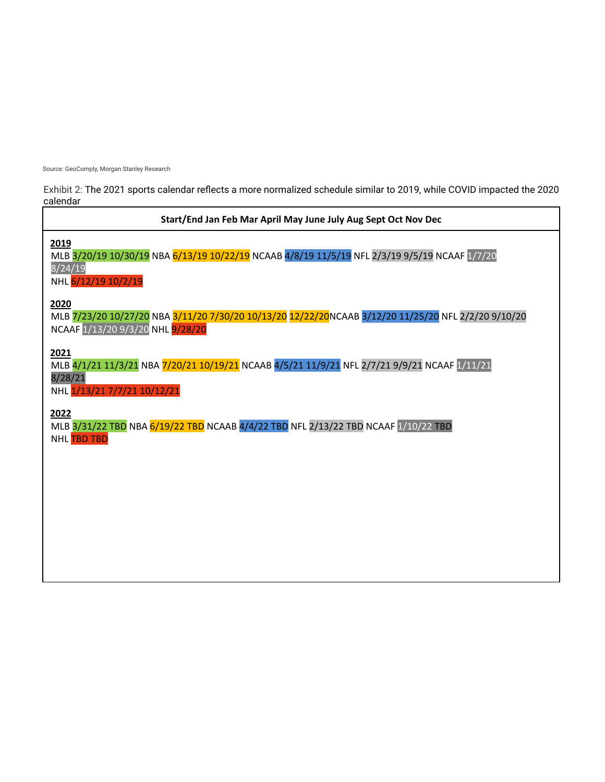Source: GeoComply, Morgan Stanley Research

Exhibit 2: The 2021 sports calendar reflects a more normalized schedule similar to 2019, while COVID impacted the 2020 calendar ٦

| Start/End Jan Feb Mar April May June July Aug Sept Oct Nov Dec                                                                                   |  |
|--------------------------------------------------------------------------------------------------------------------------------------------------|--|
| 2019<br>MLB 3/20/19 10/30/19 NBA 6/13/19 10/22/19 NCAAB 4/8/19 11/5/19 NFL 2/3/19 9/5/19 NCAAF 1/7/20<br>8/24/19<br>NHL 6/12/19 10/2/19          |  |
| 2020<br>MLB 7/23/20 10/27/20 NBA 3/11/20 7/30/20 10/13/20 12/22/20 NCAAB 3/12/20 11/25/20 NFL 2/2/20 9/10/20<br>NCAAF 1/13/20 9/3/20 NHL 9/28/20 |  |
| 2021<br>MLB 4/1/21 11/3/21 NBA 7/20/21 10/19/21 NCAAB 4/5/21 11/9/21 NFL 2/7/21 9/9/21 NCAAF 1/11/21<br>8/28/21<br>NHL 1/13/21 7/7/21 10/12/21   |  |
| 2022<br>MLB 3/31/22 TBD NBA 6/19/22 TBD NCAAB 4/4/22 TBD NFL 2/13/22 TBD NCAAF 1/10/22 TBD<br>NHL TBD TBD                                        |  |
|                                                                                                                                                  |  |
|                                                                                                                                                  |  |
|                                                                                                                                                  |  |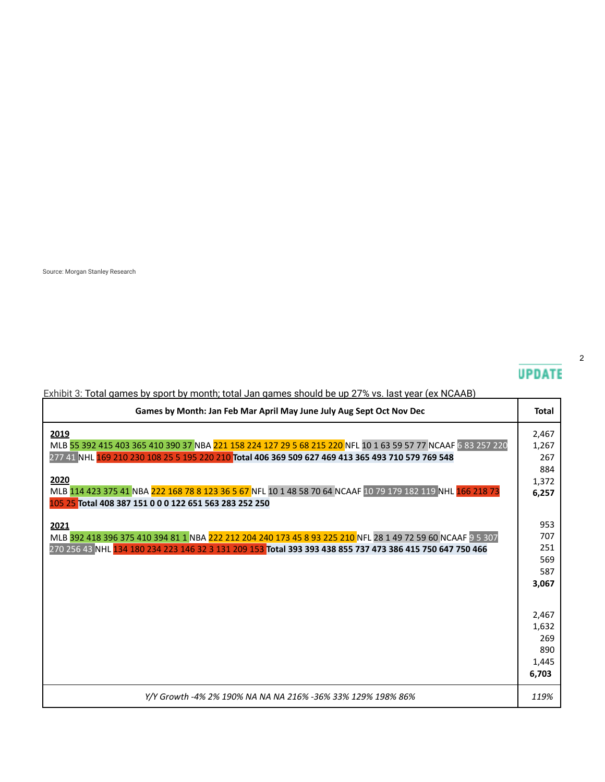Source: Morgan Stanley Research

## **UPDATE**

| Games by Month: Jan Feb Mar April May June July Aug Sept Oct Nov Dec                                                   | <b>Total</b> |
|------------------------------------------------------------------------------------------------------------------------|--------------|
| 2019                                                                                                                   | 2,467        |
| MLB 55 392 415 403 365 410 390 37 NBA 221 158 224 127 29 5 68 215 220 NFL 10 1 63 59 57 77 NCAAF 6 83 257 220          | 1,267        |
| 277 41 NHL 169 210 230 108 25 5 195 220 210 Total 406 369 509 627 469 413 365 493 710 579 769 548                      | 267          |
|                                                                                                                        | 884          |
| 2020                                                                                                                   | 1,372        |
| MLB 114 423 375 41 NBA 222 168 78 8 123 36 5 67 NFL 10 1 48 58 70 64 NCAAF 10 79 179 182 119 NHL 166 218 73            | 6,257        |
| 105 25 Total 408 387 151 0 0 0 122 651 563 283 252 250                                                                 |              |
| 2021                                                                                                                   | 953          |
| MLB 392 418 396 375 410 394 81 1 NBA 222 212 204 240 173 45 8 93 225 210 NFL 28 1 49 72 59 60 NCAAF 9 5 307            | 707          |
| 270 256 43 NHL <mark>134 180 234 223 146 32 3 131 209 153</mark> Total 393 393 438 855 737 473 386 415 750 647 750 466 | 251          |
|                                                                                                                        | 569          |
|                                                                                                                        | 587          |
|                                                                                                                        | 3,067        |
|                                                                                                                        |              |
|                                                                                                                        | 2,467        |
|                                                                                                                        | 1,632        |
|                                                                                                                        | 269          |
|                                                                                                                        | 890          |
|                                                                                                                        | 1,445        |
|                                                                                                                        | 6,703        |
| Y/Y Growth -4% 2% 190% NA NA NA 216% -36% 33% 129% 198% 86%                                                            | 119%         |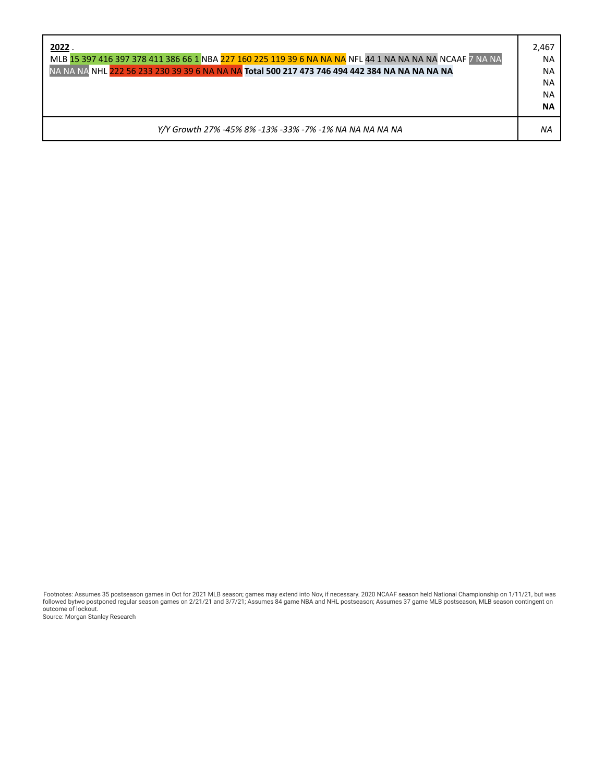| <u>2022</u><br>MLB 15 397 416 397 378 411 386 66 1 NBA 227 160 225 119 39 6 NA NA NA NFL 44 1 NA NA NA NA NCAAF 7 NA NA<br>NA NA NA NHL 222 56 233 230 39 39 6 NA NA NA Total 500 217 473 746 494 442 384 NA NA NA NA NA | 2,467<br><b>NA</b><br><b>NA</b><br><b>NA</b><br><b>NA</b><br><b>NA</b> |
|--------------------------------------------------------------------------------------------------------------------------------------------------------------------------------------------------------------------------|------------------------------------------------------------------------|
| Y/Y Growth 27% -45% 8% -13% -33% -7% -1% NA NA NA NA NA                                                                                                                                                                  | NA                                                                     |

Footnotes: Assumes 35 postseason games in Oct for 2021 MLB season; games may extend into Nov, if necessary. 2020 NCAAF season held National Championship on 1/11/21, but was<br>followed bytwo postponed regular season games on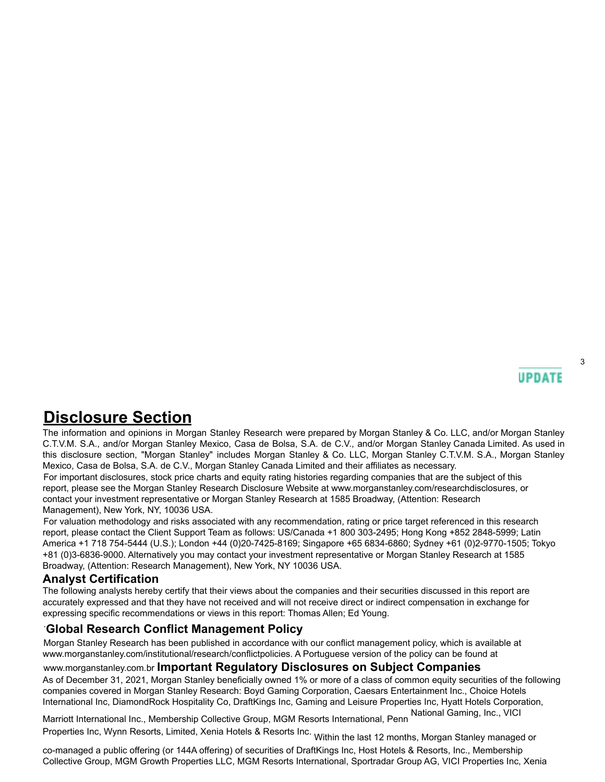3

## **Disclosure Section**

The information and opinions in Morgan Stanley Research were prepared by Morgan Stanley & Co. LLC, and/or Morgan Stanley C.T.V.M. S.A., and/or Morgan Stanley Mexico, Casa de Bolsa, S.A. de C.V., and/or Morgan Stanley Canada Limited. As used in this disclosure section, "Morgan Stanley" includes Morgan Stanley & Co. LLC, Morgan Stanley C.T.V.M. S.A., Morgan Stanley Mexico, Casa de Bolsa, S.A. de C.V., Morgan Stanley Canada Limited and their affiliates as necessary.

For important disclosures, stock price charts and equity rating histories regarding companies that are the subject of this report, please see the Morgan Stanley Research Disclosure Website at www.morganstanley.com/researchdisclosures, or contact your investment representative or Morgan Stanley Research at 1585 Broadway, (Attention: Research Management), New York, NY, 10036 USA.

For valuation methodology and risks associated with any recommendation, rating or price target referenced in this research report, please contact the Client Support Team as follows: US/Canada +1 800 303-2495; Hong Kong +852 2848-5999; Latin America +1 718 754-5444 (U.S.); London +44 (0)20-7425-8169; Singapore +65 6834-6860; Sydney +61 (0)2-9770-1505; Tokyo +81 (0)3-6836-9000. Alternatively you may contact your investment representative or Morgan Stanley Research at 1585 Broadway, (Attention: Research Management), New York, NY 10036 USA.

#### **Analyst Certification**

The following analysts hereby certify that their views about the companies and their securities discussed in this report are accurately expressed and that they have not received and will not receive direct or indirect compensation in exchange for expressing specific recommendations or views in this report: Thomas Allen; Ed Young.

#### .**Global Research Conflict Management Policy**

Morgan Stanley Research has been published in accordance with our conflict management policy, which is available at www.morganstanley.com/institutional/research/conflictpolicies. A Portuguese version of the policy can be found at

www.morganstanley.com.br **Important Regulatory Disclosures on Subject Companies** As of December 31, 2021, Morgan Stanley beneficially owned 1% or more of a class of common equity securities of the following companies covered in Morgan Stanley Research: Boyd Gaming Corporation, Caesars Entertainment Inc., Choice Hotels International Inc, DiamondRock Hospitality Co, DraftKings Inc, Gaming and Leisure Properties Inc, Hyatt Hotels Corporation,

Marriott International Inc., Membership Collective Group, MGM Resorts International, Penn National Gaming, Inc., VICI Properties Inc, Wynn Resorts, Limited, Xenia Hotels & Resorts Inc. Within the last <sup>12</sup> months, Morgan Stanley managed or

co-managed a public offering (or 144A offering) of securities of DraftKings Inc, Host Hotels & Resorts, Inc., Membership Collective Group, MGM Growth Properties LLC, MGM Resorts International, Sportradar Group AG, VICI Properties Inc, Xenia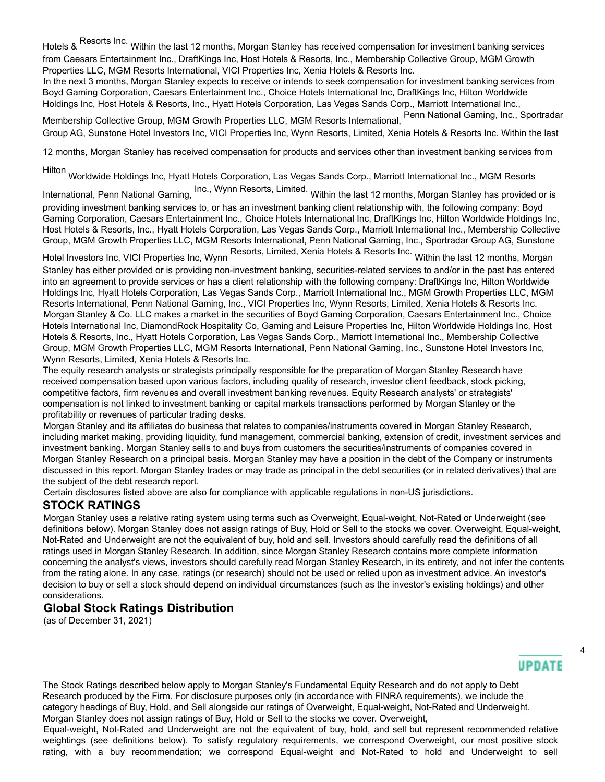Hotels & Resorts Inc. Within the last <sup>12</sup> months, Morgan Stanley has received compensation for investment banking services from Caesars Entertainment Inc., DraftKings Inc, Host Hotels & Resorts, Inc., Membership Collective Group, MGM Growth Properties LLC, MGM Resorts International, VICI Properties Inc, Xenia Hotels & Resorts Inc.

In the next 3 months, Morgan Stanley expects to receive or intends to seek compensation for investment banking services from Boyd Gaming Corporation, Caesars Entertainment Inc., Choice Hotels International Inc, DraftKings Inc, Hilton Worldwide Holdings Inc, Host Hotels & Resorts, Inc., Hyatt Hotels Corporation, Las Vegas Sands Corp., Marriott International Inc.,

Membership Collective Group, MGM Growth Properties LLC, MGM Resorts International, Penn National Gaming, Inc., Sportradar Group AG, Sunstone Hotel Investors Inc, VICI Properties Inc, Wynn Resorts, Limited, Xenia Hotels & Resorts Inc. Within the last

12 months, Morgan Stanley has received compensation for products and services other than investment banking services from

Hilton Worldwide Holdings Inc, Hyatt Hotels Corporation, Las Vegas Sands Corp., Marriott International Inc., MGM Resorts

International, Penn National Gaming, Inc., Wynn Resorts, Limited. Within the last 12 months, Morgan Stanley has provided or is providing investment banking services to, or has an investment banking client relationship with, the following company: Boyd Gaming Corporation, Caesars Entertainment Inc., Choice Hotels International Inc, DraftKings Inc, Hilton Worldwide Holdings Inc, Host Hotels & Resorts, Inc., Hyatt Hotels Corporation, Las Vegas Sands Corp., Marriott International Inc., Membership Collective Group, MGM Growth Properties LLC, MGM Resorts International, Penn National Gaming, Inc., Sportradar Group AG, Sunstone

Hotel Investors Inc, VICI Properties Inc, Wynn Resorts, Limited, Xenia Hotels & Resorts Inc. Within the last <sup>12</sup> months, Morgan Stanley has either provided or is providing non-investment banking, securities-related services to and/or in the past has entered into an agreement to provide services or has a client relationship with the following company: DraftKings Inc, Hilton Worldwide Holdings Inc, Hyatt Hotels Corporation, Las Vegas Sands Corp., Marriott International Inc., MGM Growth Properties LLC, MGM Resorts International, Penn National Gaming, Inc., VICI Properties Inc, Wynn Resorts, Limited, Xenia Hotels & Resorts Inc. Morgan Stanley & Co. LLC makes a market in the securities of Boyd Gaming Corporation, Caesars Entertainment Inc., Choice Hotels International Inc, DiamondRock Hospitality Co, Gaming and Leisure Properties Inc, Hilton Worldwide Holdings Inc, Host Hotels & Resorts, Inc., Hyatt Hotels Corporation, Las Vegas Sands Corp., Marriott International Inc., Membership Collective Group, MGM Growth Properties LLC, MGM Resorts International, Penn National Gaming, Inc., Sunstone Hotel Investors Inc, Wynn Resorts, Limited, Xenia Hotels & Resorts Inc.

The equity research analysts or strategists principally responsible for the preparation of Morgan Stanley Research have received compensation based upon various factors, including quality of research, investor client feedback, stock picking, competitive factors, firm revenues and overall investment banking revenues. Equity Research analysts' or strategists' compensation is not linked to investment banking or capital markets transactions performed by Morgan Stanley or the profitability or revenues of particular trading desks.

Morgan Stanley and its affiliates do business that relates to companies/instruments covered in Morgan Stanley Research, including market making, providing liquidity, fund management, commercial banking, extension of credit, investment services and investment banking. Morgan Stanley sells to and buys from customers the securities/instruments of companies covered in Morgan Stanley Research on a principal basis. Morgan Stanley may have a position in the debt of the Company or instruments discussed in this report. Morgan Stanley trades or may trade as principal in the debt securities (or in related derivatives) that are the subject of the debt research report.

Certain disclosures listed above are also for compliance with applicable regulations in non-US jurisdictions.

#### **STOCK RATINGS**

Morgan Stanley uses a relative rating system using terms such as Overweight, Equal-weight, Not-Rated or Underweight (see definitions below). Morgan Stanley does not assign ratings of Buy, Hold or Sell to the stocks we cover. Overweight, Equal-weight, Not-Rated and Underweight are not the equivalent of buy, hold and sell. Investors should carefully read the definitions of all ratings used in Morgan Stanley Research. In addition, since Morgan Stanley Research contains more complete information concerning the analyst's views, investors should carefully read Morgan Stanley Research, in its entirety, and not infer the contents from the rating alone. In any case, ratings (or research) should not be used or relied upon as investment advice. An investor's decision to buy or sell a stock should depend on individual circumstances (such as the investor's existing holdings) and other considerations.

#### **Global Stock Ratings Distribution**

(as of December 31, 2021)

## **UPDATE**

4

The Stock Ratings described below apply to Morgan Stanley's Fundamental Equity Research and do not apply to Debt Research produced by the Firm. For disclosure purposes only (in accordance with FINRA requirements), we include the category headings of Buy, Hold, and Sell alongside our ratings of Overweight, Equal-weight, Not-Rated and Underweight. Morgan Stanley does not assign ratings of Buy, Hold or Sell to the stocks we cover. Overweight,

Equal-weight, Not-Rated and Underweight are not the equivalent of buy, hold, and sell but represent recommended relative weightings (see definitions below). To satisfy regulatory requirements, we correspond Overweight, our most positive stock rating, with a buy recommendation; we correspond Equal-weight and Not-Rated to hold and Underweight to sell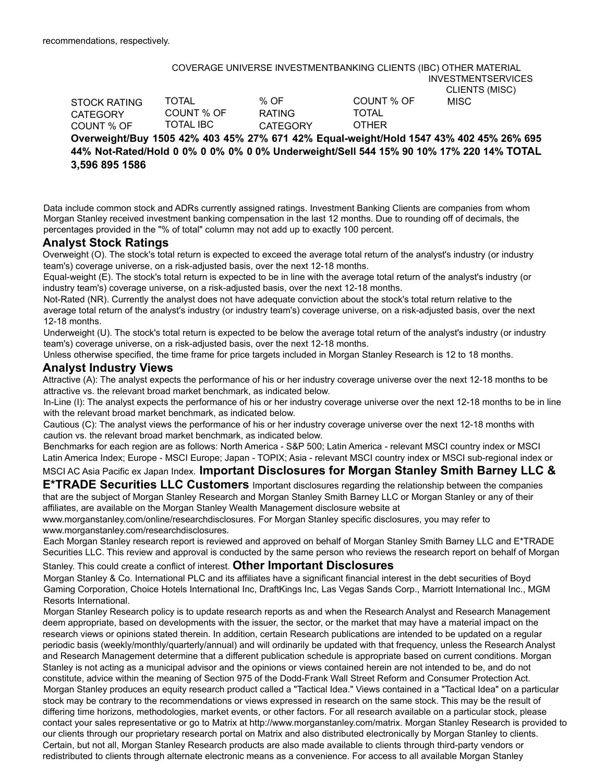**CATEGORY** 

COVERAGE UNIVERSE INVESTMENTBANKING CLIENTS (IBC) OTHER MATERIAL INVESTMENTSERVICES CLIENTS (MISC) STOCK RATING TOTAL COUNT % OF TOTAL IBC % OF RATING **CATEGORY** COUNT % OF TOTAL OTHER **MISC** 

COUNT % OF **Overweight/Buy 1505 42% 403 45% 27% 671 42% Equal-weight/Hold 1547 43% 402 45% 26% 695 44% Not-Rated/Hold 0 0% 0 0% 0% 0 0% Underweight/Sell 544 15% 90 10% 17% 220 14% TOTAL 3,596 895 1586**

Data include common stock and ADRs currently assigned ratings. Investment Banking Clients are companies from whom Morgan Stanley received investment banking compensation in the last 12 months. Due to rounding off of decimals, the percentages provided in the "% of total" column may not add up to exactly 100 percent.

#### **Analyst Stock Ratings**

Overweight (O). The stock's total return is expected to exceed the average total return of the analyst's industry (or industry team's) coverage universe, on a risk-adjusted basis, over the next 12-18 months.

Equal-weight (E). The stock's total return is expected to be in line with the average total return of the analyst's industry (or industry team's) coverage universe, on a risk-adjusted basis, over the next 12-18 months.

Not-Rated (NR). Currently the analyst does not have adequate conviction about the stock's total return relative to the average total return of the analyst's industry (or industry team's) coverage universe, on a risk-adjusted basis, over the next 12-18 months.

Underweight (U). The stock's total return is expected to be below the average total return of the analyst's industry (or industry team's) coverage universe, on a risk-adjusted basis, over the next 12-18 months.

Unless otherwise specified, the time frame for price targets included in Morgan Stanley Research is 12 to 18 months.

#### **Analyst Industry Views**

Attractive (A): The analyst expects the performance of his or her industry coverage universe over the next 12-18 months to be attractive vs. the relevant broad market benchmark, as indicated below.

In-Line (I): The analyst expects the performance of his or her industry coverage universe over the next 12-18 months to be in line with the relevant broad market benchmark, as indicated below.

Cautious (C): The analyst views the performance of his or her industry coverage universe over the next 12-18 months with caution vs. the relevant broad market benchmark, as indicated below.

Benchmarks for each region are as follows: North America - S&P 500; Latin America - relevant MSCI country index or MSCI Latin America Index; Europe - MSCI Europe; Japan - TOPIX; Asia - relevant MSCI country index or MSCI sub-regional index or

#### MSCI AC Asia Pacific ex Japan Index. **Important Disclosures for Morgan Stanley Smith Barney LLC &**

**E\*TRADE Securities LLC Customers** Important disclosures regarding the relationship between the companies that are the subject of Morgan Stanley Research and Morgan Stanley Smith Barney LLC or Morgan Stanley or any of their affiliates, are available on the Morgan Stanley Wealth Management disclosure website at

www.morganstanley.com/online/researchdisclosures. For Morgan Stanley specific disclosures, you may refer to www.morganstanley.com/researchdisclosures.

Each Morgan Stanley research report is reviewed and approved on behalf of Morgan Stanley Smith Barney LLC and E\*TRADE Securities LLC. This review and approval is conducted by the same person who reviews the research report on behalf of Morgan

Stanley. This could create a conflict of interest. **Other Important Disclosures**

Morgan Stanley & Co. International PLC and its affiliates have a significant financial interest in the debt securities of Boyd Gaming Corporation, Choice Hotels International Inc, DraftKings Inc, Las Vegas Sands Corp., Marriott International Inc., MGM Resorts International.

Morgan Stanley Research policy is to update research reports as and when the Research Analyst and Research Management deem appropriate, based on developments with the issuer, the sector, or the market that may have a material impact on the research views or opinions stated therein. In addition, certain Research publications are intended to be updated on a regular periodic basis (weekly/monthly/quarterly/annual) and will ordinarily be updated with that frequency, unless the Research Analyst and Research Management determine that a different publication schedule is appropriate based on current conditions. Morgan Stanley is not acting as a municipal advisor and the opinions or views contained herein are not intended to be, and do not constitute, advice within the meaning of Section 975 of the Dodd-Frank Wall Street Reform and Consumer Protection Act. Morgan Stanley produces an equity research product called a "Tactical Idea." Views contained in a "Tactical Idea" on a particular stock may be contrary to the recommendations or views expressed in research on the same stock. This may be the result of differing time horizons, methodologies, market events, or other factors. For all research available on a particular stock, please contact your sales representative or go to Matrix at http://www.morganstanley.com/matrix. Morgan Stanley Research is provided to our clients through our proprietary research portal on Matrix and also distributed electronically by Morgan Stanley to clients. Certain, but not all, Morgan Stanley Research products are also made available to clients through third-party vendors or redistributed to clients through alternate electronic means as a convenience. For access to all available Morgan Stanley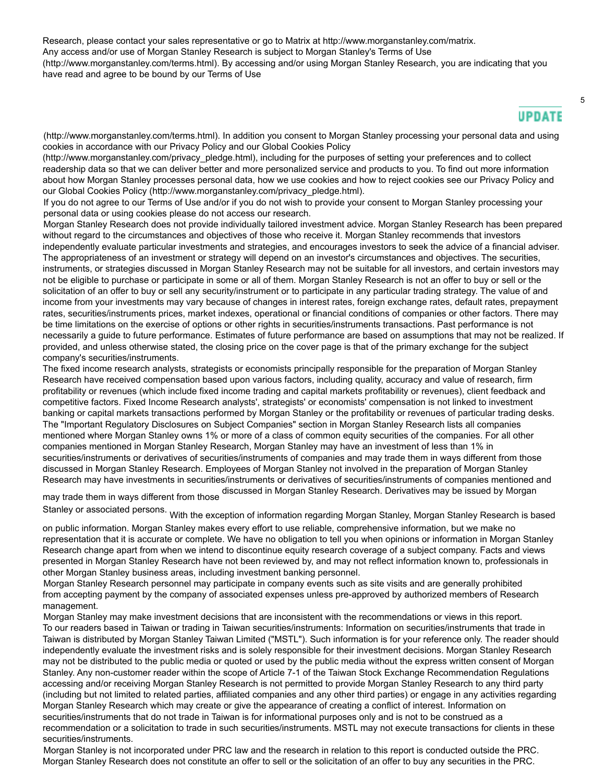Research, please contact your sales representative or go to Matrix at http://www.morganstanley.com/matrix. Any access and/or use of Morgan Stanley Research is subject to Morgan Stanley's Terms of Use (http://www.morganstanley.com/terms.html). By accessing and/or using Morgan Stanley Research, you are indicating that you have read and agree to be bound by our Terms of Use

### UPDATE

5

(http://www.morganstanley.com/terms.html). In addition you consent to Morgan Stanley processing your personal data and using cookies in accordance with our Privacy Policy and our Global Cookies Policy

(http://www.morganstanley.com/privacy\_pledge.html), including for the purposes of setting your preferences and to collect readership data so that we can deliver better and more personalized service and products to you. To find out more information about how Morgan Stanley processes personal data, how we use cookies and how to reject cookies see our Privacy Policy and our Global Cookies Policy (http://www.morganstanley.com/privacy\_pledge.html).

If you do not agree to our Terms of Use and/or if you do not wish to provide your consent to Morgan Stanley processing your personal data or using cookies please do not access our research.

Morgan Stanley Research does not provide individually tailored investment advice. Morgan Stanley Research has been prepared without regard to the circumstances and objectives of those who receive it. Morgan Stanley recommends that investors independently evaluate particular investments and strategies, and encourages investors to seek the advice of a financial adviser. The appropriateness of an investment or strategy will depend on an investor's circumstances and objectives. The securities, instruments, or strategies discussed in Morgan Stanley Research may not be suitable for all investors, and certain investors may not be eligible to purchase or participate in some or all of them. Morgan Stanley Research is not an offer to buy or sell or the solicitation of an offer to buy or sell any security/instrument or to participate in any particular trading strategy. The value of and income from your investments may vary because of changes in interest rates, foreign exchange rates, default rates, prepayment rates, securities/instruments prices, market indexes, operational or financial conditions of companies or other factors. There may be time limitations on the exercise of options or other rights in securities/instruments transactions. Past performance is not necessarily a guide to future performance. Estimates of future performance are based on assumptions that may not be realized. If provided, and unless otherwise stated, the closing price on the cover page is that of the primary exchange for the subject company's securities/instruments.

The fixed income research analysts, strategists or economists principally responsible for the preparation of Morgan Stanley Research have received compensation based upon various factors, including quality, accuracy and value of research, firm profitability or revenues (which include fixed income trading and capital markets profitability or revenues), client feedback and competitive factors. Fixed Income Research analysts', strategists' or economists' compensation is not linked to investment banking or capital markets transactions performed by Morgan Stanley or the profitability or revenues of particular trading desks. The "Important Regulatory Disclosures on Subject Companies" section in Morgan Stanley Research lists all companies mentioned where Morgan Stanley owns 1% or more of a class of common equity securities of the companies. For all other companies mentioned in Morgan Stanley Research, Morgan Stanley may have an investment of less than 1% in securities/instruments or derivatives of securities/instruments of companies and may trade them in ways different from those discussed in Morgan Stanley Research. Employees of Morgan Stanley not involved in the preparation of Morgan Stanley Research may have investments in securities/instruments or derivatives of securities/instruments of companies mentioned and

may trade them in ways different from those discussed in Morgan Stanley Research. Derivatives may be issued by Morgan

Stanley or associated persons. With the exception of information regarding Morgan Stanley, Morgan Stanley Research is based on public information. Morgan Stanley makes every effort to use reliable, comprehensive information, but we make no representation that it is accurate or complete. We have no obligation to tell you when opinions or information in Morgan Stanley Research change apart from when we intend to discontinue equity research coverage of a subject company. Facts and views presented in Morgan Stanley Research have not been reviewed by, and may not reflect information known to, professionals in other Morgan Stanley business areas, including investment banking personnel.

Morgan Stanley Research personnel may participate in company events such as site visits and are generally prohibited from accepting payment by the company of associated expenses unless pre-approved by authorized members of Research management.

Morgan Stanley may make investment decisions that are inconsistent with the recommendations or views in this report. To our readers based in Taiwan or trading in Taiwan securities/instruments: Information on securities/instruments that trade in Taiwan is distributed by Morgan Stanley Taiwan Limited ("MSTL"). Such information is for your reference only. The reader should independently evaluate the investment risks and is solely responsible for their investment decisions. Morgan Stanley Research may not be distributed to the public media or quoted or used by the public media without the express written consent of Morgan Stanley. Any non-customer reader within the scope of Article 7-1 of the Taiwan Stock Exchange Recommendation Regulations accessing and/or receiving Morgan Stanley Research is not permitted to provide Morgan Stanley Research to any third party (including but not limited to related parties, affiliated companies and any other third parties) or engage in any activities regarding Morgan Stanley Research which may create or give the appearance of creating a conflict of interest. Information on securities/instruments that do not trade in Taiwan is for informational purposes only and is not to be construed as a recommendation or a solicitation to trade in such securities/instruments. MSTL may not execute transactions for clients in these securities/instruments.

Morgan Stanley is not incorporated under PRC law and the research in relation to this report is conducted outside the PRC. Morgan Stanley Research does not constitute an offer to sell or the solicitation of an offer to buy any securities in the PRC.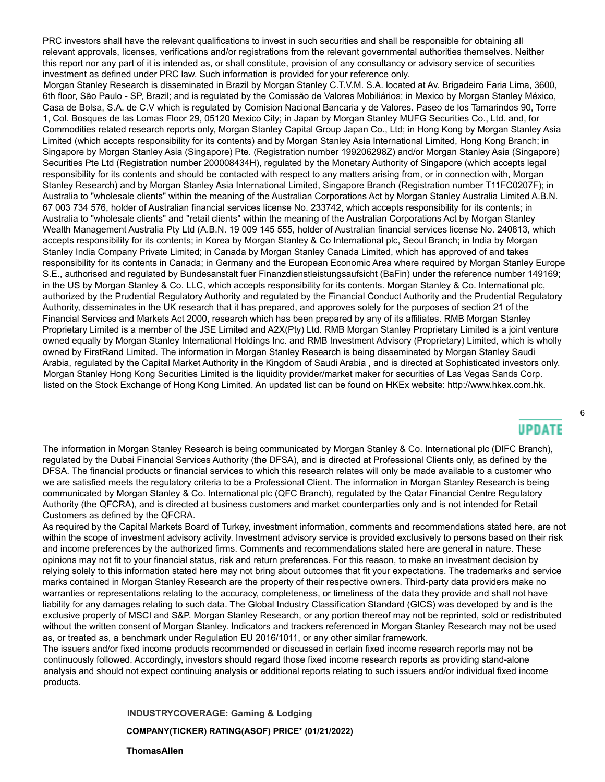PRC investors shall have the relevant qualifications to invest in such securities and shall be responsible for obtaining all relevant approvals, licenses, verifications and/or registrations from the relevant governmental authorities themselves. Neither this report nor any part of it is intended as, or shall constitute, provision of any consultancy or advisory service of securities investment as defined under PRC law. Such information is provided for your reference only.

Morgan Stanley Research is disseminated in Brazil by Morgan Stanley C.T.V.M. S.A. located at Av. Brigadeiro Faria Lima, 3600, 6th floor, São Paulo - SP, Brazil; and is regulated by the Comissão de Valores Mobiliários; in Mexico by Morgan Stanley México, Casa de Bolsa, S.A. de C.V which is regulated by Comision Nacional Bancaria y de Valores. Paseo de los Tamarindos 90, Torre 1, Col. Bosques de las Lomas Floor 29, 05120 Mexico City; in Japan by Morgan Stanley MUFG Securities Co., Ltd. and, for Commodities related research reports only, Morgan Stanley Capital Group Japan Co., Ltd; in Hong Kong by Morgan Stanley Asia Limited (which accepts responsibility for its contents) and by Morgan Stanley Asia International Limited, Hong Kong Branch; in Singapore by Morgan Stanley Asia (Singapore) Pte. (Registration number 199206298Z) and/or Morgan Stanley Asia (Singapore) Securities Pte Ltd (Registration number 200008434H), regulated by the Monetary Authority of Singapore (which accepts legal responsibility for its contents and should be contacted with respect to any matters arising from, or in connection with, Morgan Stanley Research) and by Morgan Stanley Asia International Limited, Singapore Branch (Registration number T11FC0207F); in Australia to "wholesale clients" within the meaning of the Australian Corporations Act by Morgan Stanley Australia Limited A.B.N. 67 003 734 576, holder of Australian financial services license No. 233742, which accepts responsibility for its contents; in Australia to "wholesale clients" and "retail clients" within the meaning of the Australian Corporations Act by Morgan Stanley Wealth Management Australia Pty Ltd (A.B.N. 19 009 145 555, holder of Australian financial services license No. 240813, which accepts responsibility for its contents; in Korea by Morgan Stanley & Co International plc, Seoul Branch; in India by Morgan Stanley India Company Private Limited; in Canada by Morgan Stanley Canada Limited, which has approved of and takes responsibility for its contents in Canada; in Germany and the European Economic Area where required by Morgan Stanley Europe S.E., authorised and regulated by Bundesanstalt fuer Finanzdienstleistungsaufsicht (BaFin) under the reference number 149169; in the US by Morgan Stanley & Co. LLC, which accepts responsibility for its contents. Morgan Stanley & Co. International plc, authorized by the Prudential Regulatory Authority and regulated by the Financial Conduct Authority and the Prudential Regulatory Authority, disseminates in the UK research that it has prepared, and approves solely for the purposes of section 21 of the Financial Services and Markets Act 2000, research which has been prepared by any of its affiliates. RMB Morgan Stanley Proprietary Limited is a member of the JSE Limited and A2X(Pty) Ltd. RMB Morgan Stanley Proprietary Limited is a joint venture owned equally by Morgan Stanley International Holdings Inc. and RMB Investment Advisory (Proprietary) Limited, which is wholly owned by FirstRand Limited. The information in Morgan Stanley Research is being disseminated by Morgan Stanley Saudi Arabia, regulated by the Capital Market Authority in the Kingdom of Saudi Arabia , and is directed at Sophisticated investors only. Morgan Stanley Hong Kong Securities Limited is the liquidity provider/market maker for securities of Las Vegas Sands Corp. listed on the Stock Exchange of Hong Kong Limited. An updated list can be found on HKEx website: http://www.hkex.com.hk.

## **UPDATE**

6

The information in Morgan Stanley Research is being communicated by Morgan Stanley & Co. International plc (DIFC Branch), regulated by the Dubai Financial Services Authority (the DFSA), and is directed at Professional Clients only, as defined by the DFSA. The financial products or financial services to which this research relates will only be made available to a customer who we are satisfied meets the regulatory criteria to be a Professional Client. The information in Morgan Stanley Research is being communicated by Morgan Stanley & Co. International plc (QFC Branch), regulated by the Qatar Financial Centre Regulatory Authority (the QFCRA), and is directed at business customers and market counterparties only and is not intended for Retail Customers as defined by the QFCRA.

As required by the Capital Markets Board of Turkey, investment information, comments and recommendations stated here, are not within the scope of investment advisory activity. Investment advisory service is provided exclusively to persons based on their risk and income preferences by the authorized firms. Comments and recommendations stated here are general in nature. These opinions may not fit to your financial status, risk and return preferences. For this reason, to make an investment decision by relying solely to this information stated here may not bring about outcomes that fit your expectations. The trademarks and service marks contained in Morgan Stanley Research are the property of their respective owners. Third-party data providers make no warranties or representations relating to the accuracy, completeness, or timeliness of the data they provide and shall not have liability for any damages relating to such data. The Global Industry Classification Standard (GICS) was developed by and is the exclusive property of MSCI and S&P. Morgan Stanley Research, or any portion thereof may not be reprinted, sold or redistributed without the written consent of Morgan Stanley. Indicators and trackers referenced in Morgan Stanley Research may not be used as, or treated as, a benchmark under Regulation EU 2016/1011, or any other similar framework.

The issuers and/or fixed income products recommended or discussed in certain fixed income research reports may not be continuously followed. Accordingly, investors should regard those fixed income research reports as providing stand-alone analysis and should not expect continuing analysis or additional reports relating to such issuers and/or individual fixed income products.

**INDUSTRYCOVERAGE: Gaming & Lodging**

**COMPANY(TICKER) RATING(ASOF) PRICE\* (01/21/2022)**

**ThomasAllen**